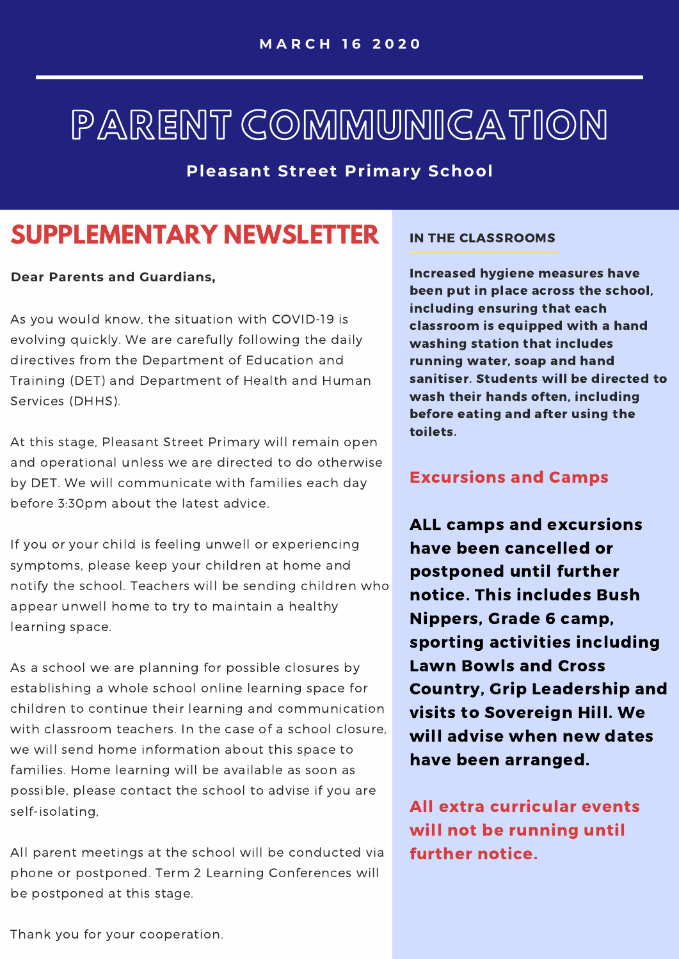# PARENT COMMUNICATION

**Pleasant Street Primary School**

# **SUPPLEMENTARY NEWSLETTER**

# **Dear Parents and Guardians,**

As you would know, the situation with COVID-19 is evolving quickly. We are carefully following the daily directives from the Department of Education and Training (DET) and Department of Health and Human Services (DHHS).

At this stage, Pleasant Street Primary will remain open and operational unless we are directed to do otherwise by DET. We will communicate with families each day before 3:30pm about the latest advice.

If you or your child is feeling unwell or experiencing symptoms, please keep your children at home and notify the school. Teachers will be sending children who appear unwell home to try to maintain a healthy learning space.

As a school we are planning for possible closures by establishing a whole school online learning space for children to continue their learning and communication with classroom teachers. In the case of a school closure, we will send home information about this space to families. Home learning will be available as soon as possible, please contact the school to advise if you are self-isolating,

All parent meetings at the school will be conducted via phone or postponed. Term 2 Learning Conferences will be postponed at this stage.

# IN THE CLASSROOMS

Increased hygiene measures have been put in place across the school, including ensuring that each classroom is equipped with a hand washing station that includes running water, soap and hand sanitiser. Students will be directed to wash their hands often, including before eating and after using the toilets.

# Excursions and Camps

ALL camps and excursions have been cancelled or postponed until further notice. This includes Bush Nippers, Grade 6 camp, sporting activities including Lawn Bowls and Cross Country, Grip Leadership and visits to Sovereign Hill. We will advise when new dates have been arranged.

All extra curricular events will not be running until further notice.

Thank you for your cooperation.